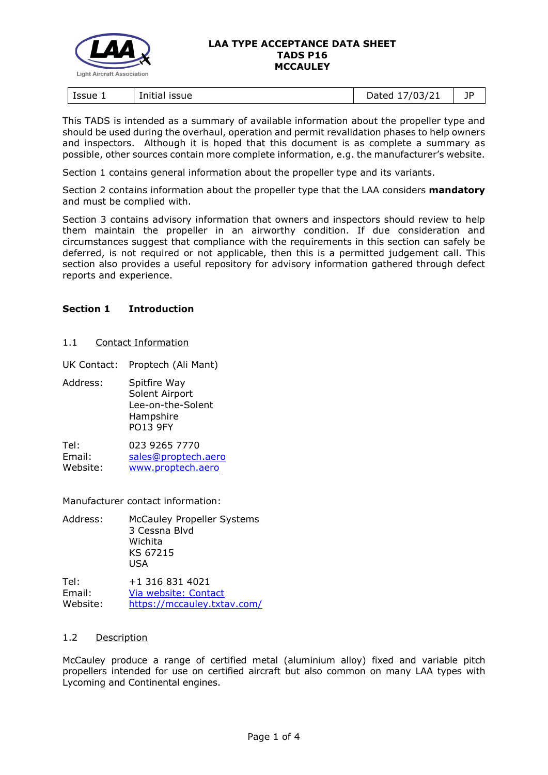

| Issue 1<br>issue<br>Initia! | 103/21<br>)ated<br>31 Z<br><u>. .</u><br>$-$ ----<br>- | 1D<br><u>. .</u> |
|-----------------------------|--------------------------------------------------------|------------------|
|-----------------------------|--------------------------------------------------------|------------------|

This TADS is intended as a summary of available information about the propeller type and should be used during the overhaul, operation and permit revalidation phases to help owners and inspectors. Although it is hoped that this document is as complete a summary as possible, other sources contain more complete information, e.g. the manufacturer's website.

Section 1 contains general information about the propeller type and its variants.

Section 2 contains information about the propeller type that the LAA considers **mandatory** and must be complied with.

Section 3 contains advisory information that owners and inspectors should review to help them maintain the propeller in an airworthy condition. If due consideration and circumstances suggest that compliance with the requirements in this section can safely be deferred, is not required or not applicable, then this is a permitted judgement call. This section also provides a useful repository for advisory information gathered through defect reports and experience.

# **Section 1 Introduction**

## 1.1 Contact Information

UK Contact: Proptech (Ali Mant)

Address: Spitfire Way Solent Airport Lee-on-the-Solent Hampshire PO13 9FY

Tel: 023 9265 7770 Email: [sales@proptech.aero](mailto:sales@proptech.aero) Website: [www.proptech.aero](http://www.proptech.aero/)

Manufacturer contact information:

Address: McCauley Propeller Systems 3 Cessna Blvd Wichita KS 67215 USA

Tel: +1 316 831 4021 Email: [Via website: Contact](https://mccauley.txtav.com/en/contact) Website: <https://mccauley.txtav.com/>

## 1.2 Description

McCauley produce a range of certified metal (aluminium alloy) fixed and variable pitch propellers intended for use on certified aircraft but also common on many LAA types with Lycoming and Continental engines.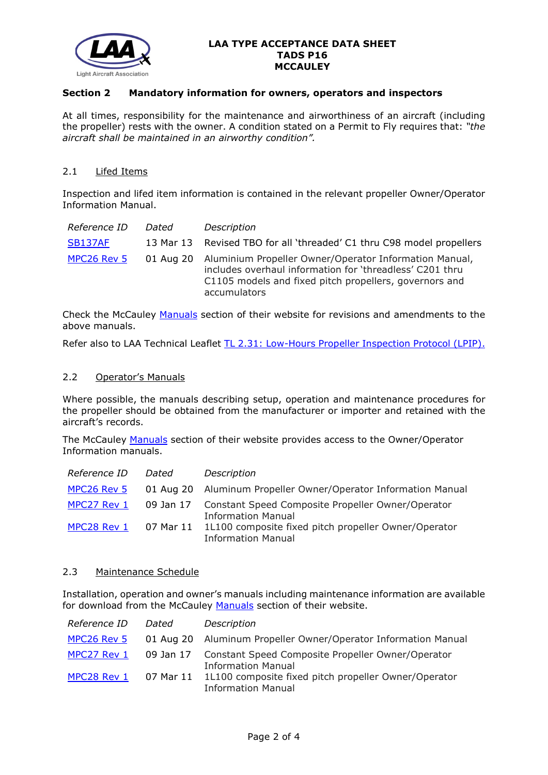

# **Section 2 Mandatory information for owners, operators and inspectors**

At all times, responsibility for the maintenance and airworthiness of an aircraft (including the propeller) rests with the owner. A condition stated on a Permit to Fly requires that: *"the aircraft shall be maintained in an airworthy condition".* 

## 2.1 Lifed Items

Inspection and lifed item information is contained in the relevant propeller Owner/Operator Information Manual.

| Reference ID   | Dated | Description                                                                                                                                                                                            |
|----------------|-------|--------------------------------------------------------------------------------------------------------------------------------------------------------------------------------------------------------|
| <b>SB137AF</b> |       | 13 Mar 13 Revised TBO for all 'threaded' C1 thru C98 model propellers                                                                                                                                  |
| MPC26 Rev 5    |       | 01 Aug 20 Aluminium Propeller Owner/Operator Information Manual,<br>includes overhaul information for 'threadless' C201 thru<br>C1105 models and fixed pitch propellers, governors and<br>accumulators |

Check the McCauley [Manuals](https://mccauley.txtav.com/en/manuals) section of their website for revisions and amendments to the above manuals.

Refer also to LAA Technical Leaflet [TL 2.31: Low-Hours Propeller Inspection Protocol \(LPIP\).](http://www.lightaircraftassociation.co.uk/engineering/TechnicalLeaflets/Operating%20An%20Aircraft/TL%202.31%20LPIP.pdf)

### 2.2 Operator's Manuals

Where possible, the manuals describing setup, operation and maintenance procedures for the propeller should be obtained from the manufacturer or importer and retained with the aircraft's records.

The McCauley [Manuals](https://mccauley.txtav.com/en/manuals) section of their website provides access to the Owner/Operator Information manuals.

| Reference ID | Dated | Description                                                                                 |
|--------------|-------|---------------------------------------------------------------------------------------------|
| MPC26 Rev 5  |       | 01 Aug 20 Aluminum Propeller Owner/Operator Information Manual                              |
| MPC27 Rev 1  |       | 09 Jan 17 Constant Speed Composite Propeller Owner/Operator<br><b>Information Manual</b>    |
| MPC28 Rev 1  |       | 07 Mar 11 1L100 composite fixed pitch propeller Owner/Operator<br><b>Information Manual</b> |

#### 2.3 Maintenance Schedule

Installation, operation and owner's manuals including maintenance information are available for download from the McCauley [Manuals](https://mccauley.txtav.com/en/manuals) section of their website.

| Reference ID | Dated     | Description                                                                              |
|--------------|-----------|------------------------------------------------------------------------------------------|
| MPC26 Rev 5  |           | 01 Aug 20 Aluminum Propeller Owner/Operator Information Manual                           |
| MPC27 Rev 1  |           | 09 Jan 17 Constant Speed Composite Propeller Owner/Operator<br><b>Information Manual</b> |
| MPC28 Rev 1  | 07 Mar 11 | 1L100 composite fixed pitch propeller Owner/Operator<br><b>Information Manual</b>        |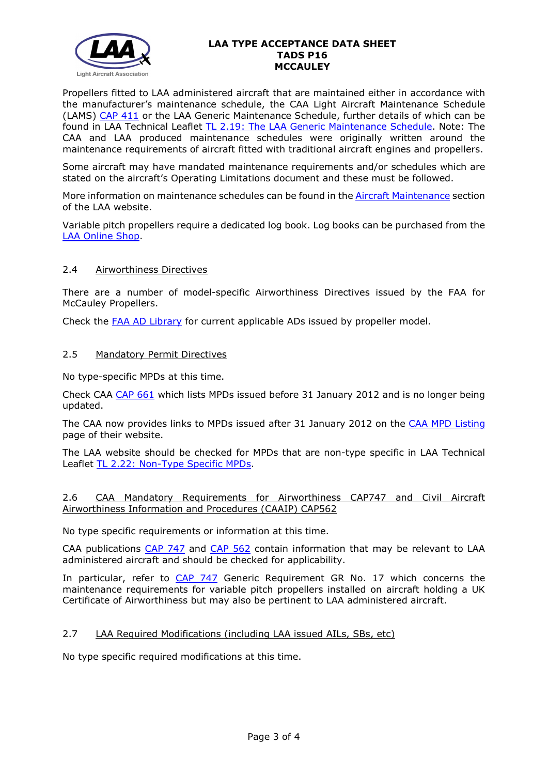

Propellers fitted to LAA administered aircraft that are maintained either in accordance with the manufacturer's maintenance schedule, the CAA Light Aircraft Maintenance Schedule (LAMS) [CAP 411](http://www.caa.co.uk/CAP411) or the LAA Generic Maintenance Schedule, further details of which can be found in LAA Technical Leaflet [TL 2.19: The LAA Generic Maintenance Schedule.](http://www.lightaircraftassociation.co.uk/engineering/TechnicalLeaflets/Operating%20An%20Aircraft/TL%202.19%20The%20LAA%20Generic%20Maintenance%20Schedule.pdf) Note: The CAA and LAA produced maintenance schedules were originally written around the maintenance requirements of aircraft fitted with traditional aircraft engines and propellers.

Some aircraft may have mandated maintenance requirements and/or schedules which are stated on the aircraft's Operating Limitations document and these must be followed.

More information on maintenance schedules can be found in the [Aircraft Maintenance](http://www.lightaircraftassociation.co.uk/engineering/Maintenance/Aircraft_Maintenance.html) section of the LAA website.

Variable pitch propellers require a dedicated log book. Log books can be purchased from the [LAA Online Shop.](https://services.lightaircraftassociation.co.uk/catalog/265)

## 2.4 Airworthiness Directives

There are a number of model-specific Airworthiness Directives issued by the FAA for McCauley Propellers.

Check the [FAA AD Library](https://rgl.faa.gov/Regulatory_and_Guidance_Library/rgAD.nsf/Frameset?OpenPage) for current applicable ADs issued by propeller model.

### 2.5 Mandatory Permit Directives

No type-specific MPDs at this time.

Check CAA [CAP 661](http://www.caa.co.uk/cap661) which lists MPDs issued before 31 January 2012 and is no longer being updated.

The CAA now provides links to MPDs issued after 31 January 2012 on the [CAA MPD Listing](http://publicapps.caa.co.uk/modalapplication.aspx?appid=11&mode=list&type=sercat&id=55) page of their website.

The LAA website should be checked for MPDs that are non-type specific in LAA Technical Leaflet [TL 2.22: Non-Type Specific MPDs.](http://www.lightaircraftassociation.co.uk/engineering/TechnicalLeaflets/Operating%20An%20Aircraft/TL%202.22%20non-type%20specific%20MPDs.pdf)

## 2.6 CAA Mandatory Requirements for Airworthiness CAP747 and Civil Aircraft Airworthiness Information and Procedures (CAAIP) CAP562

No type specific requirements or information at this time.

CAA publications [CAP 747](http://www.caa.co.uk/CAP747) and [CAP 562](http://www.caa.co.uk/CAP562) contain information that may be relevant to LAA administered aircraft and should be checked for applicability.

In particular, refer to [CAP 747](http://www.caa.co.uk/CAP747) Generic Requirement GR No. 17 which concerns the maintenance requirements for variable pitch propellers installed on aircraft holding a UK Certificate of Airworthiness but may also be pertinent to LAA administered aircraft.

## 2.7 LAA Required Modifications (including LAA issued AILs, SBs, etc)

No type specific required modifications at this time.